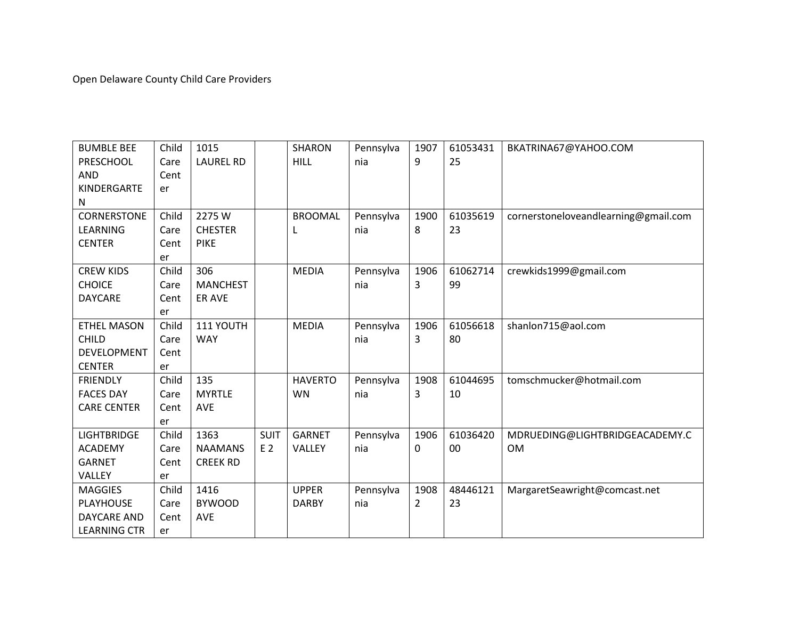Open Delaware County Child Care Providers

| <b>BUMBLE BEE</b>   | Child | 1015             |             | <b>SHARON</b>  | Pennsylva | 1907           | 61053431 | BKATRINA67@YAHOO.COM                 |
|---------------------|-------|------------------|-------------|----------------|-----------|----------------|----------|--------------------------------------|
| PRESCHOOL           | Care  | <b>LAUREL RD</b> |             | <b>HILL</b>    | nia       | 9              | 25       |                                      |
| <b>AND</b>          | Cent  |                  |             |                |           |                |          |                                      |
| KINDERGARTE         | er    |                  |             |                |           |                |          |                                      |
| N                   |       |                  |             |                |           |                |          |                                      |
| <b>CORNERSTONE</b>  | Child | 2275W            |             | <b>BROOMAL</b> | Pennsylva | 1900           | 61035619 | cornerstoneloveandlearning@gmail.com |
| <b>LEARNING</b>     | Care  | <b>CHESTER</b>   |             | L              | nia       | 8              | 23       |                                      |
| <b>CENTER</b>       | Cent  | <b>PIKE</b>      |             |                |           |                |          |                                      |
|                     | er    |                  |             |                |           |                |          |                                      |
| <b>CREW KIDS</b>    | Child | 306              |             | <b>MEDIA</b>   | Pennsylva | 1906           | 61062714 | crewkids1999@gmail.com               |
| <b>CHOICE</b>       | Care  | <b>MANCHEST</b>  |             |                | nia       | 3              | 99       |                                      |
| <b>DAYCARE</b>      | Cent  | ER AVE           |             |                |           |                |          |                                      |
|                     | er    |                  |             |                |           |                |          |                                      |
| <b>ETHEL MASON</b>  | Child | 111 YOUTH        |             | <b>MEDIA</b>   | Pennsylva | 1906           | 61056618 | shanlon715@aol.com                   |
| <b>CHILD</b>        | Care  | <b>WAY</b>       |             |                | nia       | 3              | 80       |                                      |
| <b>DEVELOPMENT</b>  | Cent  |                  |             |                |           |                |          |                                      |
| <b>CENTER</b>       | er    |                  |             |                |           |                |          |                                      |
| <b>FRIENDLY</b>     | Child | 135              |             | <b>HAVERTO</b> | Pennsylva | 1908           | 61044695 | tomschmucker@hotmail.com             |
| <b>FACES DAY</b>    | Care  | <b>MYRTLE</b>    |             | <b>WN</b>      | nia       | 3              | 10       |                                      |
| <b>CARE CENTER</b>  | Cent  | <b>AVE</b>       |             |                |           |                |          |                                      |
|                     | er    |                  |             |                |           |                |          |                                      |
| <b>LIGHTBRIDGE</b>  | Child | 1363             | <b>SUIT</b> | <b>GARNET</b>  | Pennsylva | 1906           | 61036420 | MDRUEDING@LIGHTBRIDGEACADEMY.C       |
| <b>ACADEMY</b>      | Care  | <b>NAAMANS</b>   | E 2         | VALLEY         | nia       | 0              | 00       | <b>OM</b>                            |
| <b>GARNET</b>       | Cent  | <b>CREEK RD</b>  |             |                |           |                |          |                                      |
| VALLEY              | er    |                  |             |                |           |                |          |                                      |
| <b>MAGGIES</b>      | Child | 1416             |             | <b>UPPER</b>   | Pennsylva | 1908           | 48446121 | MargaretSeawright@comcast.net        |
| <b>PLAYHOUSE</b>    | Care  | <b>BYWOOD</b>    |             | <b>DARBY</b>   | nia       | $\overline{2}$ | 23       |                                      |
| DAYCARE AND         | Cent  | <b>AVE</b>       |             |                |           |                |          |                                      |
| <b>LEARNING CTR</b> | er    |                  |             |                |           |                |          |                                      |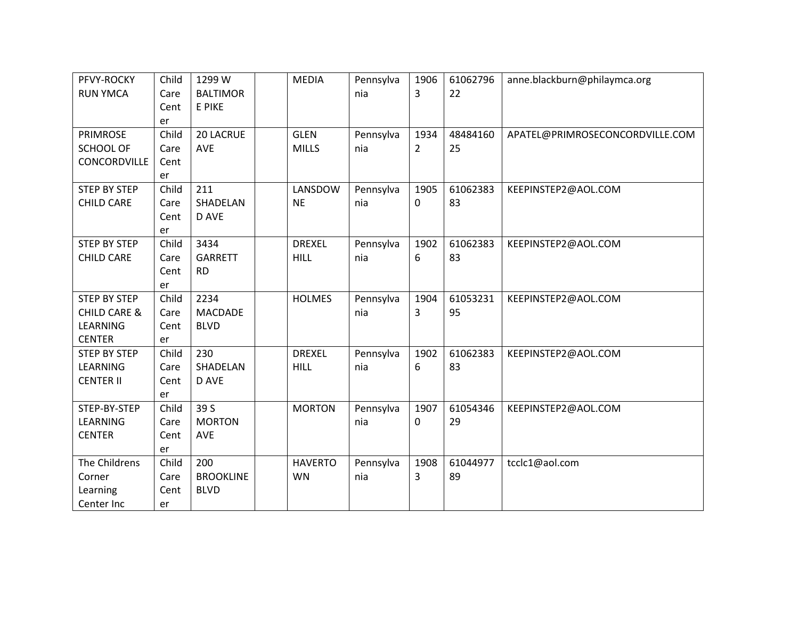| PFVY-ROCKY              | Child | 1299 W           | <b>MEDIA</b>   | Pennsylva | 1906           | 61062796 | anne.blackburn@philaymca.org    |
|-------------------------|-------|------------------|----------------|-----------|----------------|----------|---------------------------------|
| <b>RUN YMCA</b>         | Care  | <b>BALTIMOR</b>  |                | nia       | $\overline{3}$ | 22       |                                 |
|                         | Cent  | E PIKE           |                |           |                |          |                                 |
|                         | er    |                  |                |           |                |          |                                 |
| <b>PRIMROSE</b>         | Child | 20 LACRUE        | <b>GLEN</b>    | Pennsylva | 1934           | 48484160 | APATEL@PRIMROSECONCORDVILLE.COM |
| <b>SCHOOL OF</b>        | Care  | <b>AVE</b>       | <b>MILLS</b>   | nia       | $\overline{2}$ | 25       |                                 |
| CONCORDVILLE            | Cent  |                  |                |           |                |          |                                 |
|                         | er    |                  |                |           |                |          |                                 |
| <b>STEP BY STEP</b>     | Child | 211              | LANSDOW        | Pennsylva | 1905           | 61062383 | KEEPINSTEP2@AOL.COM             |
| <b>CHILD CARE</b>       | Care  | SHADELAN         | <b>NE</b>      | nia       | 0              | 83       |                                 |
|                         | Cent  | D AVE            |                |           |                |          |                                 |
|                         | er    |                  |                |           |                |          |                                 |
| <b>STEP BY STEP</b>     | Child | 3434             | <b>DREXEL</b>  | Pennsylva | 1902           | 61062383 | KEEPINSTEP2@AOL.COM             |
| <b>CHILD CARE</b>       | Care  | <b>GARRETT</b>   | <b>HILL</b>    | nia       | 6              | 83       |                                 |
|                         | Cent  | <b>RD</b>        |                |           |                |          |                                 |
|                         | er    |                  |                |           |                |          |                                 |
| <b>STEP BY STEP</b>     | Child | 2234             | <b>HOLMES</b>  | Pennsylva | 1904           | 61053231 | KEEPINSTEP2@AOL.COM             |
| <b>CHILD CARE &amp;</b> | Care  | <b>MACDADE</b>   |                | nia       | 3              | 95       |                                 |
| LEARNING                | Cent  | <b>BLVD</b>      |                |           |                |          |                                 |
| <b>CENTER</b>           | er    |                  |                |           |                |          |                                 |
| <b>STEP BY STEP</b>     | Child | 230              | <b>DREXEL</b>  | Pennsylva | 1902           | 61062383 | KEEPINSTEP2@AOL.COM             |
| LEARNING                | Care  | SHADELAN         | <b>HILL</b>    | nia       | 6              | 83       |                                 |
| <b>CENTER II</b>        | Cent  | D AVE            |                |           |                |          |                                 |
|                         | er    |                  |                |           |                |          |                                 |
| STEP-BY-STEP            | Child | 39 S             | <b>MORTON</b>  | Pennsylva | 1907           | 61054346 | KEEPINSTEP2@AOL.COM             |
| LEARNING                | Care  | <b>MORTON</b>    |                | nia       | 0              | 29       |                                 |
| <b>CENTER</b>           | Cent  | <b>AVE</b>       |                |           |                |          |                                 |
|                         | er    |                  |                |           |                |          |                                 |
| The Childrens           | Child | 200              | <b>HAVERTO</b> | Pennsylva | 1908           | 61044977 | tcclc1@aol.com                  |
| Corner                  | Care  | <b>BROOKLINE</b> | <b>WN</b>      | nia       | 3              | 89       |                                 |
| Learning                | Cent  | <b>BLVD</b>      |                |           |                |          |                                 |
| Center Inc              | er    |                  |                |           |                |          |                                 |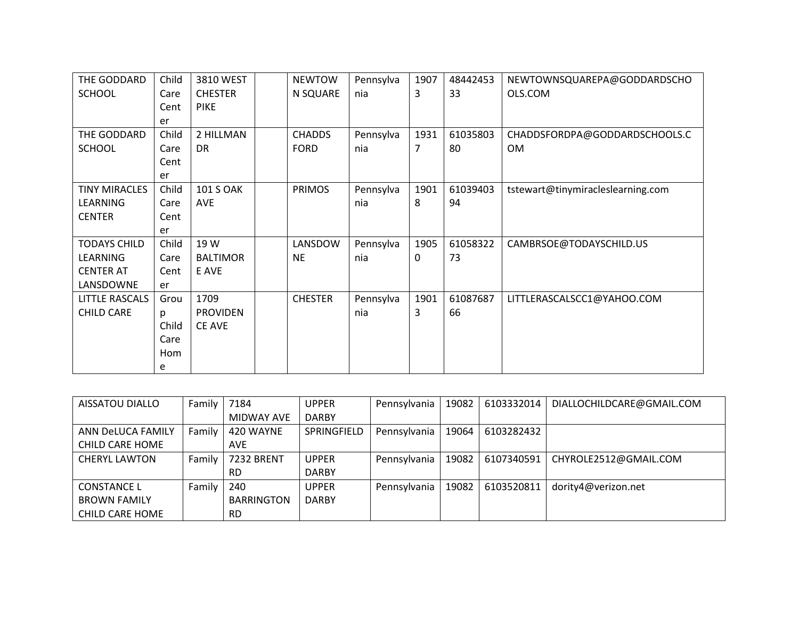| THE GODDARD           | Child | 3810 WEST        | <b>NEWTOW</b>  | Pennsylva | 1907 | 48442453 | NEWTOWNSQUAREPA@GODDARDSCHO       |
|-----------------------|-------|------------------|----------------|-----------|------|----------|-----------------------------------|
| <b>SCHOOL</b>         | Care  | <b>CHESTER</b>   | N SQUARE       | nia       | 3    | 33       | OLS.COM                           |
|                       | Cent  | <b>PIKE</b>      |                |           |      |          |                                   |
|                       | er    |                  |                |           |      |          |                                   |
| THE GODDARD           | Child | 2 HILLMAN        | <b>CHADDS</b>  | Pennsylva | 1931 | 61035803 | CHADDSFORDPA@GODDARDSCHOOLS.C     |
| <b>SCHOOL</b>         | Care  | <b>DR</b>        | <b>FORD</b>    | nia       | 7    | 80       | <b>OM</b>                         |
|                       | Cent  |                  |                |           |      |          |                                   |
|                       | er    |                  |                |           |      |          |                                   |
| <b>TINY MIRACLES</b>  | Child | <b>101 S OAK</b> | <b>PRIMOS</b>  | Pennsylva | 1901 | 61039403 | tstewart@tinymiracleslearning.com |
| LEARNING              | Care  | <b>AVE</b>       |                | nia       | 8    | 94       |                                   |
| <b>CENTER</b>         | Cent  |                  |                |           |      |          |                                   |
|                       | er    |                  |                |           |      |          |                                   |
| <b>TODAYS CHILD</b>   | Child | 19 W             | LANSDOW        | Pennsylva | 1905 | 61058322 | CAMBRSOE@TODAYSCHILD.US           |
| <b>LEARNING</b>       | Care  | <b>BALTIMOR</b>  | <b>NE</b>      | nia       | 0    | 73       |                                   |
| <b>CENTER AT</b>      | Cent  | E AVE            |                |           |      |          |                                   |
| LANSDOWNE             | er    |                  |                |           |      |          |                                   |
| <b>LITTLE RASCALS</b> | Grou  | 1709             | <b>CHESTER</b> | Pennsylva | 1901 | 61087687 | LITTLERASCALSCC1@YAHOO.COM        |
| <b>CHILD CARE</b>     | p     | <b>PROVIDEN</b>  |                | nia       | 3    | 66       |                                   |
|                       | Child | <b>CE AVE</b>    |                |           |      |          |                                   |
|                       | Care  |                  |                |           |      |          |                                   |
|                       | Hom   |                  |                |           |      |          |                                   |
|                       | e     |                  |                |           |      |          |                                   |

| AISSATOU DIALLO      | Family | 7184              | <b>UPPER</b> | Pennsylvania | 19082 | 6103332014 | DIALLOCHILDCARE@GMAIL.COM |
|----------------------|--------|-------------------|--------------|--------------|-------|------------|---------------------------|
|                      |        | MIDWAY AVE        | <b>DARBY</b> |              |       |            |                           |
| ANN DeLUCA FAMILY    | Family | 420 WAYNE         | SPRINGFIELD  | Pennsylvania | 19064 | 6103282432 |                           |
| CHILD CARE HOME      |        | <b>AVE</b>        |              |              |       |            |                           |
| <b>CHERYL LAWTON</b> | Family | <b>7232 BRENT</b> | <b>UPPER</b> | Pennsylvania | 19082 | 6107340591 | CHYROLE2512@GMAIL.COM     |
|                      |        | <b>RD</b>         | <b>DARBY</b> |              |       |            |                           |
| <b>CONSTANCE L</b>   | Family | 240               | <b>UPPER</b> | Pennsylvania | 19082 | 6103520811 | dority4@verizon.net       |
| <b>BROWN FAMILY</b>  |        | <b>BARRINGTON</b> | <b>DARBY</b> |              |       |            |                           |
| CHILD CARE HOME      |        | <b>RD</b>         |              |              |       |            |                           |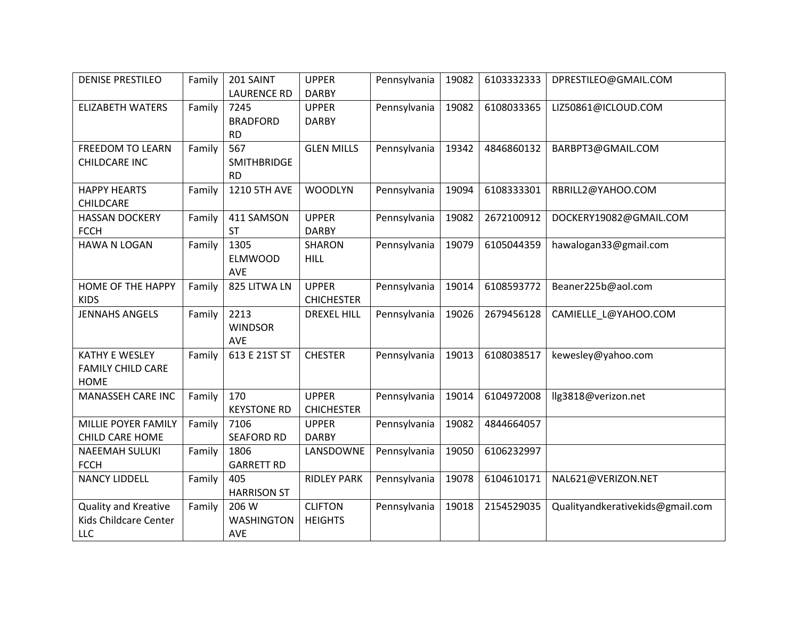| <b>DENISE PRESTILEO</b>                                          | Family | 201 SAINT<br><b>LAURENCE RD</b>          | <b>UPPER</b><br><b>DARBY</b>      | Pennsylvania | 19082 | 6103332333 | DPRESTILEO@GMAIL.COM             |
|------------------------------------------------------------------|--------|------------------------------------------|-----------------------------------|--------------|-------|------------|----------------------------------|
| <b>ELIZABETH WATERS</b>                                          | Family | 7245<br><b>BRADFORD</b><br><b>RD</b>     | <b>UPPER</b><br><b>DARBY</b>      | Pennsylvania | 19082 | 6108033365 | LIZ50861@ICLOUD.COM              |
| <b>FREEDOM TO LEARN</b><br>CHILDCARE INC                         | Family | 567<br>SMITHBRIDGE<br><b>RD</b>          | <b>GLEN MILLS</b>                 | Pennsylvania | 19342 | 4846860132 | BARBPT3@GMAIL.COM                |
| <b>HAPPY HEARTS</b><br>CHILDCARE                                 | Family | 1210 5TH AVE                             | <b>WOODLYN</b>                    | Pennsylvania | 19094 | 6108333301 | RBRILL2@YAHOO.COM                |
| <b>HASSAN DOCKERY</b><br><b>FCCH</b>                             | Family | 411 SAMSON<br><b>ST</b>                  | <b>UPPER</b><br><b>DARBY</b>      | Pennsylvania | 19082 | 2672100912 | DOCKERY19082@GMAIL.COM           |
| <b>HAWA N LOGAN</b>                                              | Family | 1305<br><b>ELMWOOD</b><br><b>AVE</b>     | <b>SHARON</b><br>HILL             | Pennsylvania | 19079 | 6105044359 | hawalogan33@gmail.com            |
| <b>HOME OF THE HAPPY</b><br><b>KIDS</b>                          | Family | 825 LITWA LN                             | <b>UPPER</b><br><b>CHICHESTER</b> | Pennsylvania | 19014 | 6108593772 | Beaner225b@aol.com               |
| <b>JENNAHS ANGELS</b>                                            | Family | 2213<br><b>WINDSOR</b><br>AVE            | <b>DREXEL HILL</b>                | Pennsylvania | 19026 | 2679456128 | CAMIELLE_L@YAHOO.COM             |
| <b>KATHY E WESLEY</b><br><b>FAMILY CHILD CARE</b><br><b>HOME</b> | Family | 613 E 21ST ST                            | <b>CHESTER</b>                    | Pennsylvania | 19013 | 6108038517 | kewesley@yahoo.com               |
| MANASSEH CARE INC                                                | Family | 170<br><b>KEYSTONE RD</b>                | <b>UPPER</b><br><b>CHICHESTER</b> | Pennsylvania | 19014 | 6104972008 | llg3818@verizon.net              |
| MILLIE POYER FAMILY<br>CHILD CARE HOME                           | Family | 7106<br><b>SEAFORD RD</b>                | <b>UPPER</b><br><b>DARBY</b>      | Pennsylvania | 19082 | 4844664057 |                                  |
| <b>NAEEMAH SULUKI</b><br><b>FCCH</b>                             | Family | 1806<br><b>GARRETT RD</b>                | LANSDOWNE                         | Pennsylvania | 19050 | 6106232997 |                                  |
| <b>NANCY LIDDELL</b>                                             | Family | 405<br><b>HARRISON ST</b>                | <b>RIDLEY PARK</b>                | Pennsylvania | 19078 | 6104610171 | NAL621@VERIZON.NET               |
| Quality and Kreative<br>Kids Childcare Center<br>LLC             | Family | 206 W<br><b>WASHINGTON</b><br><b>AVE</b> | <b>CLIFTON</b><br><b>HEIGHTS</b>  | Pennsylvania | 19018 | 2154529035 | Qualityandkerativekids@gmail.com |